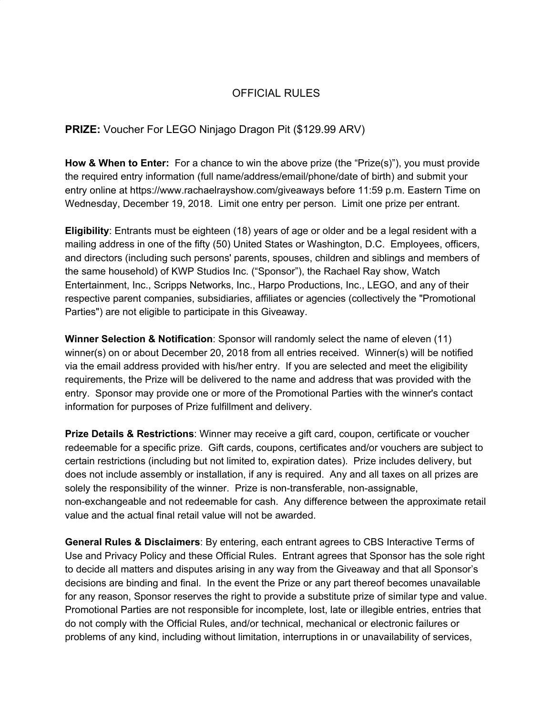## OFFICIAL RULES

## **PRIZE:** Voucher For LEGO Ninjago Dragon Pit (\$129.99 ARV)

**How & When to Enter:** For a chance to win the above prize (the "Prize(s)"), you must provide the required entry information (full name/address/email/phone/date of birth) and submit your entry online at https://www.rachaelrayshow.com/giveaways before 11:59 p.m. Eastern Time on Wednesday, December 19, 2018. Limit one entry per person. Limit one prize per entrant.

**Eligibility**: Entrants must be eighteen (18) years of age or older and be a legal resident with a mailing address in one of the fifty (50) United States or Washington, D.C. Employees, officers, and directors (including such persons' parents, spouses, children and siblings and members of the same household) of KWP Studios Inc. ("Sponsor"), the Rachael Ray show, Watch Entertainment, Inc., Scripps Networks, Inc., Harpo Productions, Inc., LEGO, and any of their respective parent companies, subsidiaries, affiliates or agencies (collectively the "Promotional Parties") are not eligible to participate in this Giveaway.

**Winner Selection & Notification**: Sponsor will randomly select the name of eleven (11) winner(s) on or about December 20, 2018 from all entries received. Winner(s) will be notified via the email address provided with his/her entry. If you are selected and meet the eligibility requirements, the Prize will be delivered to the name and address that was provided with the entry. Sponsor may provide one or more of the Promotional Parties with the winner's contact information for purposes of Prize fulfillment and delivery.

**Prize Details & Restrictions**: Winner may receive a gift card, coupon, certificate or voucher redeemable for a specific prize. Gift cards, coupons, certificates and/or vouchers are subject to certain restrictions (including but not limited to, expiration dates). Prize includes delivery, but does not include assembly or installation, if any is required. Any and all taxes on all prizes are solely the responsibility of the winner. Prize is non-transferable, non-assignable, non-exchangeable and not redeemable for cash. Any difference between the approximate retail value and the actual final retail value will not be awarded.

**General Rules & Disclaimers**: By entering, each entrant agrees to CBS Interactive Terms of Use and Privacy Policy and these Official Rules. Entrant agrees that Sponsor has the sole right to decide all matters and disputes arising in any way from the Giveaway and that all Sponsor's decisions are binding and final. In the event the Prize or any part thereof becomes unavailable for any reason, Sponsor reserves the right to provide a substitute prize of similar type and value. Promotional Parties are not responsible for incomplete, lost, late or illegible entries, entries that do not comply with the Official Rules, and/or technical, mechanical or electronic failures or problems of any kind, including without limitation, interruptions in or unavailability of services,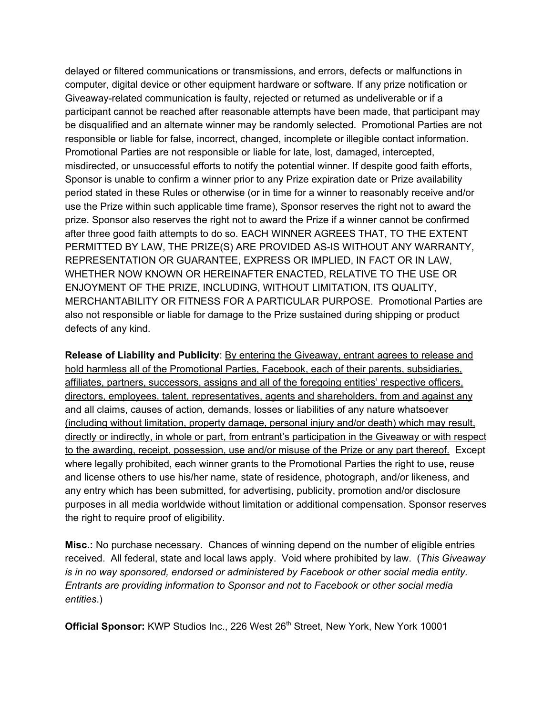delayed or filtered communications or transmissions, and errors, defects or malfunctions in computer, digital device or other equipment hardware or software. If any prize notification or Giveaway-related communication is faulty, rejected or returned as undeliverable or if a participant cannot be reached after reasonable attempts have been made, that participant may be disqualified and an alternate winner may be randomly selected. Promotional Parties are not responsible or liable for false, incorrect, changed, incomplete or illegible contact information. Promotional Parties are not responsible or liable for late, lost, damaged, intercepted, misdirected, or unsuccessful efforts to notify the potential winner. If despite good faith efforts, Sponsor is unable to confirm a winner prior to any Prize expiration date or Prize availability period stated in these Rules or otherwise (or in time for a winner to reasonably receive and/or use the Prize within such applicable time frame), Sponsor reserves the right not to award the prize. Sponsor also reserves the right not to award the Prize if a winner cannot be confirmed after three good faith attempts to do so. EACH WINNER AGREES THAT, TO THE EXTENT PERMITTED BY LAW, THE PRIZE(S) ARE PROVIDED AS-IS WITHOUT ANY WARRANTY, REPRESENTATION OR GUARANTEE, EXPRESS OR IMPLIED, IN FACT OR IN LAW, WHETHER NOW KNOWN OR HEREINAFTER ENACTED, RELATIVE TO THE USE OR ENJOYMENT OF THE PRIZE, INCLUDING, WITHOUT LIMITATION, ITS QUALITY, MERCHANTABILITY OR FITNESS FOR A PARTICULAR PURPOSE. Promotional Parties are also not responsible or liable for damage to the Prize sustained during shipping or product defects of any kind.

**Release of Liability and Publicity**: By entering the Giveaway, entrant agrees to release and hold harmless all of the Promotional Parties, Facebook, each of their parents, subsidiaries, affiliates, partners, successors, assigns and all of the foregoing entities' respective officers, directors, employees, talent, representatives, agents and shareholders, from and against any and all claims, causes of action, demands, losses or liabilities of any nature whatsoever (including without limitation, property damage, personal injury and/or death) which may result, directly or indirectly, in whole or part, from entrant's participation in the Giveaway or with respect to the awarding, receipt, possession, use and/or misuse of the Prize or any part thereof. Except where legally prohibited, each winner grants to the Promotional Parties the right to use, reuse and license others to use his/her name, state of residence, photograph, and/or likeness, and any entry which has been submitted, for advertising, publicity, promotion and/or disclosure purposes in all media worldwide without limitation or additional compensation. Sponsor reserves the right to require proof of eligibility.

**Misc.:** No purchase necessary. Chances of winning depend on the number of eligible entries received. All federal, state and local laws apply. Void where prohibited by law. (*This Giveaway is in no way sponsored, endorsed or administered by Facebook or other social media entity. Entrants are providing information to Sponsor and not to Facebook or other social media entities*.)

Official Sponsor: KWP Studios Inc., 226 West 26<sup>th</sup> Street, New York, New York 10001